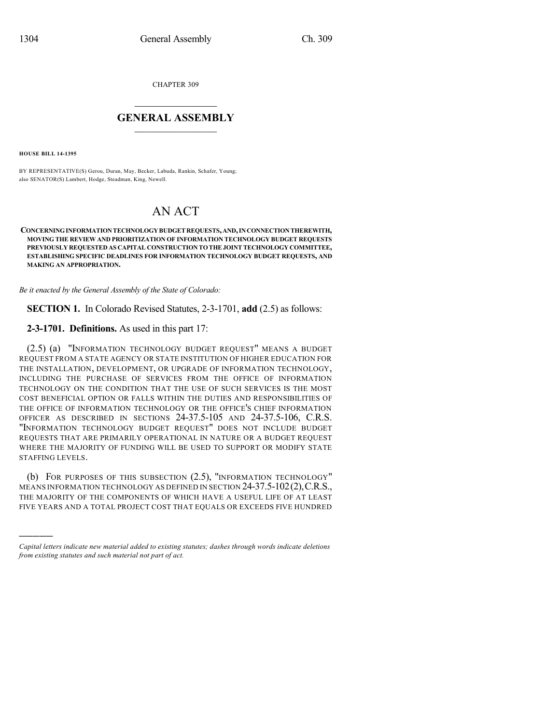CHAPTER 309

## $\overline{\phantom{a}}$  . The set of the set of the set of the set of the set of the set of the set of the set of the set of the set of the set of the set of the set of the set of the set of the set of the set of the set of the set o **GENERAL ASSEMBLY**  $\frac{1}{\sqrt{2}}$

**HOUSE BILL 14-1395**

)))))

BY REPRESENTATIVE(S) Gerou, Duran, May, Becker, Labuda, Rankin, Schafer, Young; also SENATOR(S) Lambert, Hodge, Steadman, King, Newell.

## AN ACT

## **CONCERNINGINFORMATIONTECHNOLOGYBUDGETREQUESTS,AND,INCONNECTIONTHEREWITH, MOVING THE REVIEW AND PRIORITIZATION OF INFORMATION TECHNOLOGY BUDGET REQUESTS PREVIOUSLY REQUESTED AS CAPITAL CONSTRUCTION TOTHEJOINTTECHNOLOGY COMMITTEE, ESTABLISHING SPECIFIC DEADLINES FOR INFORMATION TECHNOLOGY BUDGET REQUESTS, AND MAKING AN APPROPRIATION.**

*Be it enacted by the General Assembly of the State of Colorado:*

**SECTION 1.** In Colorado Revised Statutes, 2-3-1701, **add** (2.5) as follows:

**2-3-1701. Definitions.** As used in this part 17:

(2.5) (a) "INFORMATION TECHNOLOGY BUDGET REQUEST" MEANS A BUDGET REQUEST FROM A STATE AGENCY OR STATE INSTITUTION OF HIGHER EDUCATION FOR THE INSTALLATION, DEVELOPMENT, OR UPGRADE OF INFORMATION TECHNOLOGY, INCLUDING THE PURCHASE OF SERVICES FROM THE OFFICE OF INFORMATION TECHNOLOGY ON THE CONDITION THAT THE USE OF SUCH SERVICES IS THE MOST COST BENEFICIAL OPTION OR FALLS WITHIN THE DUTIES AND RESPONSIBILITIES OF THE OFFICE OF INFORMATION TECHNOLOGY OR THE OFFICE'S CHIEF INFORMATION OFFICER AS DESCRIBED IN SECTIONS 24-37.5-105 AND 24-37.5-106, C.R.S. "INFORMATION TECHNOLOGY BUDGET REQUEST" DOES NOT INCLUDE BUDGET REQUESTS THAT ARE PRIMARILY OPERATIONAL IN NATURE OR A BUDGET REQUEST WHERE THE MAJORITY OF FUNDING WILL BE USED TO SUPPORT OR MODIFY STATE STAFFING LEVELS.

(b) FOR PURPOSES OF THIS SUBSECTION (2.5), "INFORMATION TECHNOLOGY" MEANS INFORMATION TECHNOLOGY AS DEFINED IN SECTION 24-37.5-102(2),C.R.S., THE MAJORITY OF THE COMPONENTS OF WHICH HAVE A USEFUL LIFE OF AT LEAST FIVE YEARS AND A TOTAL PROJECT COST THAT EQUALS OR EXCEEDS FIVE HUNDRED

*Capital letters indicate new material added to existing statutes; dashes through words indicate deletions from existing statutes and such material not part of act.*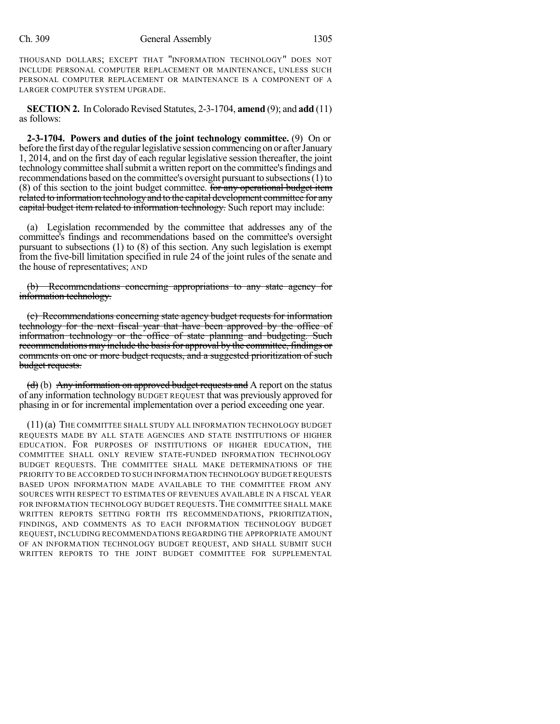THOUSAND DOLLARS; EXCEPT THAT "INFORMATION TECHNOLOGY" DOES NOT INCLUDE PERSONAL COMPUTER REPLACEMENT OR MAINTENANCE, UNLESS SUCH PERSONAL COMPUTER REPLACEMENT OR MAINTENANCE IS A COMPONENT OF A LARGER COMPUTER SYSTEM UPGRADE.

**SECTION 2.** In Colorado Revised Statutes, 2-3-1704, **amend** (9); and **add** (11) as follows:

**2-3-1704. Powers and duties of the joint technology committee.** (9) On or before the first day of the regular legislative session commencing on or after January 1, 2014, and on the first day of each regular legislative session thereafter, the joint technology committee shall submit a written report on the committee's findings and recommendations based on the committee's oversight pursuant to subsections(1)to (8) of this section to the joint budget committee. For any operational budget item related to information technologyand to the capital development committee for any capital budget item related to information technology. Such report may include:

(a) Legislation recommended by the committee that addresses any of the committee's findings and recommendations based on the committee's oversight pursuant to subsections (1) to (8) of this section. Any such legislation is exempt from the five-bill limitation specified in rule 24 of the joint rules of the senate and the house of representatives; AND

(b) Recommendations concerning appropriations to any state agency for information technology.

(c) Recommendations concerning state agency budget requests for information technology for the next fiscal year that have been approved by the office of information technology or the office of state planning and budgeting. Such recommendations may include the basis for approval by the committee, findings or comments on one or more budget requests, and a suggested prioritization of such budget requests.

 $(d)$  (b) Any information on approved budget requests and A report on the status of any information technology BUDGET REQUEST that was previously approved for phasing in or for incremental implementation over a period exceeding one year.

(11) (a) THE COMMITTEE SHALL STUDY ALL INFORMATION TECHNOLOGY BUDGET REQUESTS MADE BY ALL STATE AGENCIES AND STATE INSTITUTIONS OF HIGHER EDUCATION. FOR PURPOSES OF INSTITUTIONS OF HIGHER EDUCATION, THE COMMITTEE SHALL ONLY REVIEW STATE-FUNDED INFORMATION TECHNOLOGY BUDGET REQUESTS. THE COMMITTEE SHALL MAKE DETERMINATIONS OF THE PRIORITY TO BE ACCORDED TO SUCH INFORMATION TECHNOLOGY BUDGET REQUESTS BASED UPON INFORMATION MADE AVAILABLE TO THE COMMITTEE FROM ANY SOURCES WITH RESPECT TO ESTIMATES OF REVENUES AVAILABLE IN A FISCAL YEAR FOR INFORMATION TECHNOLOGY BUDGET REQUESTS. THE COMMITTEE SHALL MAKE WRITTEN REPORTS SETTING FORTH ITS RECOMMENDATIONS, PRIORITIZATION, FINDINGS, AND COMMENTS AS TO EACH INFORMATION TECHNOLOGY BUDGET REQUEST, INCLUDING RECOMMENDATIONS REGARDING THE APPROPRIATE AMOUNT OF AN INFORMATION TECHNOLOGY BUDGET REQUEST, AND SHALL SUBMIT SUCH WRITTEN REPORTS TO THE JOINT BUDGET COMMITTEE FOR SUPPLEMENTAL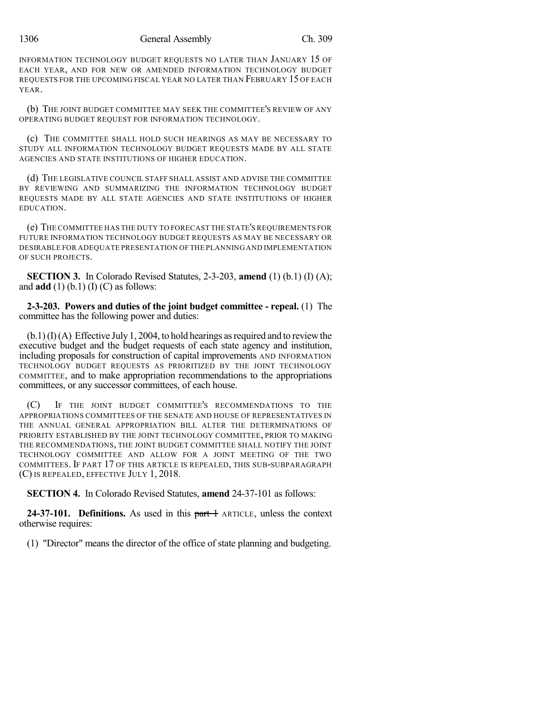INFORMATION TECHNOLOGY BUDGET REQUESTS NO LATER THAN JANUARY 15 OF EACH YEAR, AND FOR NEW OR AMENDED INFORMATION TECHNOLOGY BUDGET REQUESTS FOR THE UPCOMING FISCAL YEAR NO LATER THAN FEBRUARY 15 OF EACH YEAR.

(b) THE JOINT BUDGET COMMITTEE MAY SEEK THE COMMITTEE'S REVIEW OF ANY OPERATING BUDGET REQUEST FOR INFORMATION TECHNOLOGY.

(c) THE COMMITTEE SHALL HOLD SUCH HEARINGS AS MAY BE NECESSARY TO STUDY ALL INFORMATION TECHNOLOGY BUDGET REQUESTS MADE BY ALL STATE AGENCIES AND STATE INSTITUTIONS OF HIGHER EDUCATION.

(d) THE LEGISLATIVE COUNCIL STAFF SHALL ASSIST AND ADVISE THE COMMITTEE BY REVIEWING AND SUMMARIZING THE INFORMATION TECHNOLOGY BUDGET REQUESTS MADE BY ALL STATE AGENCIES AND STATE INSTITUTIONS OF HIGHER EDUCATION.

(e) THE COMMITTEE HAS THE DUTY TO FORECAST THE STATE'S REQUIREMENTS FOR FUTURE INFORMATION TECHNOLOGY BUDGET REQUESTS AS MAY BE NECESSARY OR DESIRABLE FOR ADEQUATE PRESENTATION OF THE PLANNING AND IMPLEMENTATION OF SUCH PROJECTS.

**SECTION 3.** In Colorado Revised Statutes, 2-3-203, **amend** (1) (b.1) (I) (A); and  $\text{add}(1)$  (b.1) (I) (C) as follows:

**2-3-203. Powers and duties of the joint budget committee - repeal.** (1) The committee has the following power and duties:

 $(b.1)(I)(A)$  Effective July 1, 2004, to hold hearings as required and to review the executive budget and the budget requests of each state agency and institution, including proposals for construction of capital improvements AND INFORMATION TECHNOLOGY BUDGET REQUESTS AS PRIORITIZED BY THE JOINT TECHNOLOGY COMMITTEE, and to make appropriation recommendations to the appropriations committees, or any successor committees, of each house.

(C) IF THE JOINT BUDGET COMMITTEE'S RECOMMENDATIONS TO THE APPROPRIATIONS COMMITTEES OF THE SENATE AND HOUSE OF REPRESENTATIVES IN THE ANNUAL GENERAL APPROPRIATION BILL ALTER THE DETERMINATIONS OF PRIORITY ESTABLISHED BY THE JOINT TECHNOLOGY COMMITTEE, PRIOR TO MAKING THE RECOMMENDATIONS, THE JOINT BUDGET COMMITTEE SHALL NOTIFY THE JOINT TECHNOLOGY COMMITTEE AND ALLOW FOR A JOINT MEETING OF THE TWO COMMITTEES. IF PART 17 OF THIS ARTICLE IS REPEALED, THIS SUB-SUBPARAGRAPH (C) IS REPEALED, EFFECTIVE JULY 1, 2018.

**SECTION 4.** In Colorado Revised Statutes, **amend** 24-37-101 as follows:

**24-37-101. Definitions.** As used in this part 1 ARTICLE, unless the context otherwise requires:

(1) "Director" means the director of the office of state planning and budgeting.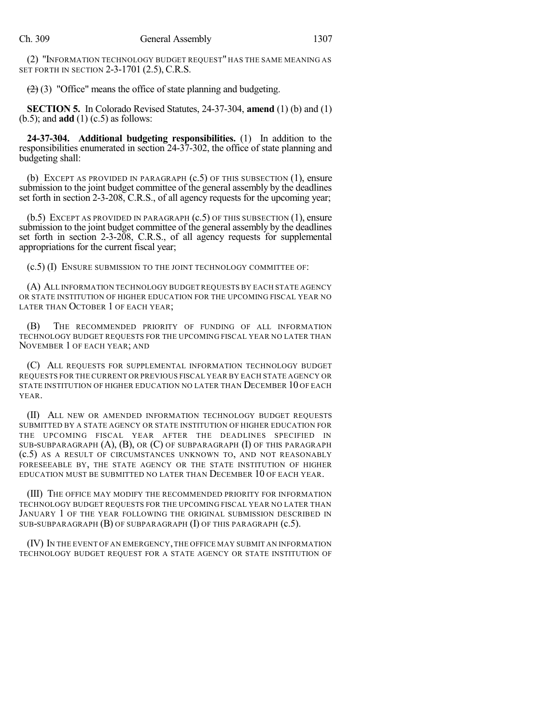(2) "INFORMATION TECHNOLOGY BUDGET REQUEST" HAS THE SAME MEANING AS SET FORTH IN SECTION 2-3-1701 (2.5), C.R.S.

 $(2)$  (3) "Office" means the office of state planning and budgeting.

**SECTION 5.** In Colorado Revised Statutes, 24-37-304, **amend** (1) (b) and (1) (b.5); and **add** (1) (c.5) as follows:

**24-37-304. Additional budgeting responsibilities.** (1) In addition to the responsibilities enumerated in section 24-37-302, the office of state planning and budgeting shall:

(b) EXCEPT AS PROVIDED IN PARAGRAPH  $(c.5)$  OF THIS SUBSECTION  $(1)$ , ensure submission to the joint budget committee of the general assembly by the deadlines set forth in section 2-3-208, C.R.S., of all agency requests for the upcoming year;

(b.5) EXCEPT AS PROVIDED IN PARAGRAPH (c.5) OF THIS SUBSECTION (1), ensure submission to the joint budget committee of the general assembly by the deadlines set forth in section 2-3-208, C.R.S., of all agency requests for supplemental appropriations for the current fiscal year;

(c.5) (I) ENSURE SUBMISSION TO THE JOINT TECHNOLOGY COMMITTEE OF:

(A) ALL INFORMATION TECHNOLOGY BUDGETREQUESTS BY EACH STATE AGENCY OR STATE INSTITUTION OF HIGHER EDUCATION FOR THE UPCOMING FISCAL YEAR NO LATER THAN OCTOBER 1 OF EACH YEAR;

(B) THE RECOMMENDED PRIORITY OF FUNDING OF ALL INFORMATION TECHNOLOGY BUDGET REQUESTS FOR THE UPCOMING FISCAL YEAR NO LATER THAN NOVEMBER 1 OF EACH YEAR; AND

(C) ALL REQUESTS FOR SUPPLEMENTAL INFORMATION TECHNOLOGY BUDGET REQUESTS FOR THE CURRENT OR PREVIOUS FISCAL YEAR BY EACH STATE AGENCY OR STATE INSTITUTION OF HIGHER EDUCATION NO LATER THAN DECEMBER 10 OF EACH YEAR.

(II) ALL NEW OR AMENDED INFORMATION TECHNOLOGY BUDGET REQUESTS SUBMITTED BY A STATE AGENCY OR STATE INSTITUTION OF HIGHER EDUCATION FOR THE UPCOMING FISCAL YEAR AFTER THE DEADLINES SPECIFIED IN SUB-SUBPARAGRAPH  $(A)$ ,  $(B)$ , OR  $(C)$  OF SUBPARAGRAPH  $(I)$  OF THIS PARAGRAPH (c.5) AS A RESULT OF CIRCUMSTANCES UNKNOWN TO, AND NOT REASONABLY FORESEEABLE BY, THE STATE AGENCY OR THE STATE INSTITUTION OF HIGHER EDUCATION MUST BE SUBMITTED NO LATER THAN DECEMBER 10 OF EACH YEAR.

(III) THE OFFICE MAY MODIFY THE RECOMMENDED PRIORITY FOR INFORMATION TECHNOLOGY BUDGET REQUESTS FOR THE UPCOMING FISCAL YEAR NO LATER THAN JANUARY 1 OF THE YEAR FOLLOWING THE ORIGINAL SUBMISSION DESCRIBED IN SUB-SUBPARAGRAPH (B) OF SUBPARAGRAPH (I) OF THIS PARAGRAPH (c.5).

(IV) IN THE EVENT OF AN EMERGENCY,THE OFFICE MAY SUBMIT AN INFORMATION TECHNOLOGY BUDGET REQUEST FOR A STATE AGENCY OR STATE INSTITUTION OF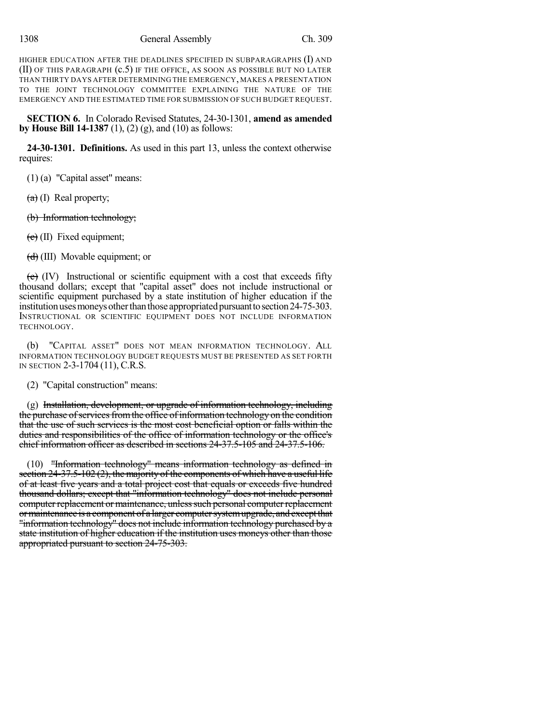HIGHER EDUCATION AFTER THE DEADLINES SPECIFIED IN SUBPARAGRAPHS (I) AND (II) OF THIS PARAGRAPH (c.5) IF THE OFFICE, AS SOON AS POSSIBLE BUT NO LATER THAN THIRTY DAYS AFTER DETERMINING THE EMERGENCY, MAKES A PRESENTATION TO THE JOINT TECHNOLOGY COMMITTEE EXPLAINING THE NATURE OF THE EMERGENCY AND THE ESTIMATED TIME FOR SUBMISSION OF SUCH BUDGET REQUEST.

**SECTION 6.** In Colorado Revised Statutes, 24-30-1301, **amend as amended by House Bill 14-1387** (1), (2) (g), and (10) as follows:

**24-30-1301. Definitions.** As used in this part 13, unless the context otherwise requires:

(1) (a) "Capital asset" means:

 $(a)$  (I) Real property;

(b) Information technology;

 $(e)$  (II) Fixed equipment;

(d) (III) Movable equipment; or

 $(e)$  (IV) Instructional or scientific equipment with a cost that exceeds fifty thousand dollars; except that "capital asset" does not include instructional or scientific equipment purchased by a state institution of higher education if the institution uses moneys other than those appropriated pursuant to section 24-75-303. INSTRUCTIONAL OR SCIENTIFIC EQUIPMENT DOES NOT INCLUDE INFORMATION TECHNOLOGY.

(b) "CAPITAL ASSET" DOES NOT MEAN INFORMATION TECHNOLOGY. ALL INFORMATION TECHNOLOGY BUDGET REQUESTS MUST BE PRESENTED AS SET FORTH IN SECTION 2-3-1704 (11), C.R.S.

(2) "Capital construction" means:

 $(g)$  Installation, development, or upgrade of information technology, including the purchase of services from the office of information technology on the condition that the use of such services is the most cost beneficial option or falls within the duties and responsibilities of the office of information technology or the office's chief information officer as described in sections 24-37.5-105 and 24-37.5-106.

(10) "Information technology" means information technology as defined in section  $24-37.5-102(2)$ , the majority of the components of which have a useful life of at least five years and a total project cost that equals or exceeds five hundred thousand dollars; except that "information technology" does not include personal computer replacement or maintenance, unless such personal computer replacement ormaintenance is a component of a larger computersystemupgrade, andexceptthat "information technology" does not include information technology purchased by a state institution of higher education if the institution uses moneys other than those appropriated pursuant to section 24-75-303.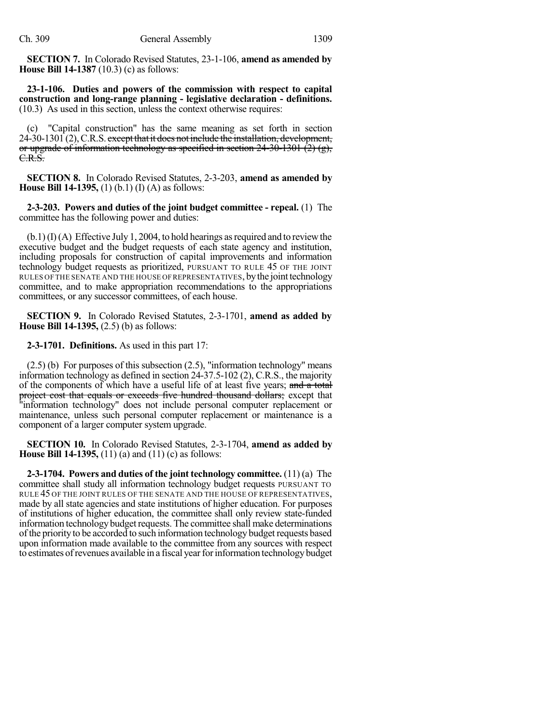**SECTION 7.** In Colorado Revised Statutes, 23-1-106, **amend as amended by House Bill 14-1387** (10.3) (c) as follows:

**23-1-106. Duties and powers of the commission with respect to capital construction and long-range planning - legislative declaration - definitions.** (10.3) As used in this section, unless the context otherwise requires:

(c) "Capital construction" has the same meaning as set forth in section 24-30-1301 (2), C.R.S. except that it does not include the installation, development, or upgrade of information technology as specified in section  $24-30-1301$  (2) (g), C.R.S.

**SECTION 8.** In Colorado Revised Statutes, 2-3-203, **amend as amended by House Bill 14-1395,** (1) (b.1) (I) (A) as follows:

**2-3-203. Powers and duties of the joint budget committee - repeal.** (1) The committee has the following power and duties:

 $(b.1)(I)(A)$  Effective July 1, 2004, to hold hearings as required and to review the executive budget and the budget requests of each state agency and institution, including proposals for construction of capital improvements and information technology budget requests as prioritized, PURSUANT TO RULE 45 OF THE JOINT RULES OF THE SENATE AND THE HOUSE OFREPRESENTATIVES, bythe jointtechnology committee, and to make appropriation recommendations to the appropriations committees, or any successor committees, of each house.

**SECTION 9.** In Colorado Revised Statutes, 2-3-1701, **amend as added by House Bill 14-1395,** (2.5) (b) as follows:

**2-3-1701. Definitions.** As used in this part 17:

(2.5) (b) For purposes of this subsection (2.5), "information technology" means information technology as defined in section 24-37.5-102 (2), C.R.S., the majority of the components of which have a useful life of at least five years; and a total project cost that equals or exceeds five hundred thousand dollars; except that "information technology" does not include personal computer replacement or maintenance, unless such personal computer replacement or maintenance is a component of a larger computer system upgrade.

**SECTION 10.** In Colorado Revised Statutes, 2-3-1704, **amend as added by House Bill 14-1395,** (11) (a) and (11) (c) as follows:

**2-3-1704. Powers and duties of the joint technology committee.** (11) (a) The committee shall study all information technology budget requests PURSUANT TO RULE 45 OF THE JOINT RULES OF THE SENATE AND THE HOUSE OF REPRESENTATIVES, made by all state agencies and state institutions of higher education. For purposes of institutions of higher education, the committee shall only review state-funded information technology budget requests. The committee shall make determinations of the priority to be accorded to such information technology budgetrequests based upon information made available to the committee from any sources with respect to estimates of revenues available in a fiscal year for information technology budget